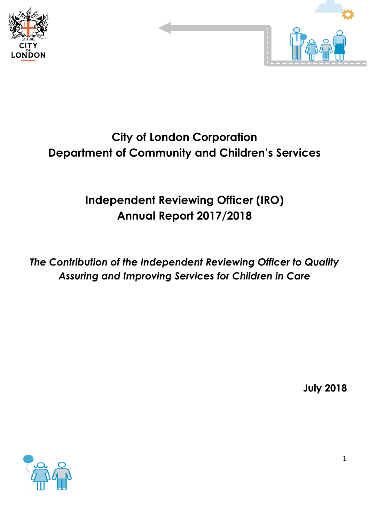



# **City of London Corporation Department of Community and Children's Services**

# **Independent Reviewing Officer (IRO) Annual Report 2017/2018**

*The Contribution of the Independent Reviewing Officer to Quality Assuring and Improving Services for Children in Care*

**July 2018**

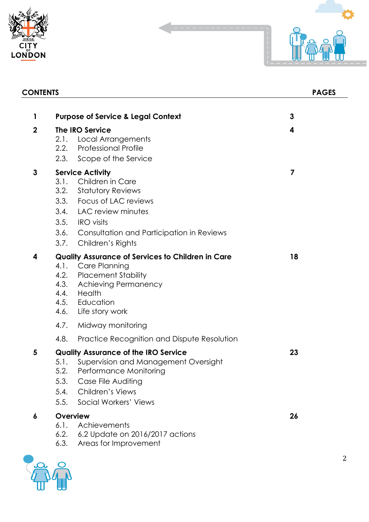





| <b>CONTENTS</b>  |                                                                                                                                                                                                                                                                      | <b>PAGES</b> |
|------------------|----------------------------------------------------------------------------------------------------------------------------------------------------------------------------------------------------------------------------------------------------------------------|--------------|
| 1                | <b>Purpose of Service &amp; Legal Context</b>                                                                                                                                                                                                                        | 3            |
| $\boldsymbol{2}$ | <b>The IRO Service</b><br><b>Local Arrangements</b><br>2.1.<br><b>Professional Profile</b><br>2.2.<br>2.3.<br>Scope of the Service                                                                                                                                   | 4            |
| 3                | <b>Service Activity</b><br>Children in Care<br>3.1.<br>3.2.<br><b>Statutory Reviews</b><br>Focus of LAC reviews<br>3.3.<br>3.4.<br>LAC review minutes<br>3.5.<br><b>IRO</b> visits<br>3.6.<br>Consultation and Participation in Reviews<br>Children's Rights<br>3.7. | 7            |
| 4                | <b>Quality Assurance of Services to Children in Care</b><br>Care Planning<br>4.1.<br><b>Placement Stability</b><br>4.2.<br>4.3.<br><b>Achieving Permanency</b><br>4.4.<br>Health<br>Education<br>4.5.<br>Life story work<br>4.6.                                     | 18           |
|                  | 4.7.<br>Midway monitoring<br>4.8.<br>Practice Recognition and Dispute Resolution                                                                                                                                                                                     |              |
| 5                | <b>Quality Assurance of the IRO Service</b><br>Supervision and Management Oversight<br>5.1.<br>5.2.<br>Performance Monitoring<br>5.3.<br>Case File Auditing<br><b>Children's Views</b><br>5.4.<br>Social Workers' Views<br>5.5.                                      | 23           |
| 6                | Overview<br>Achievements<br>6.1.<br>6.2 Update on 2016/2017 actions<br>6.2.<br>Areas for Improvement<br>6.3.                                                                                                                                                         | 26           |

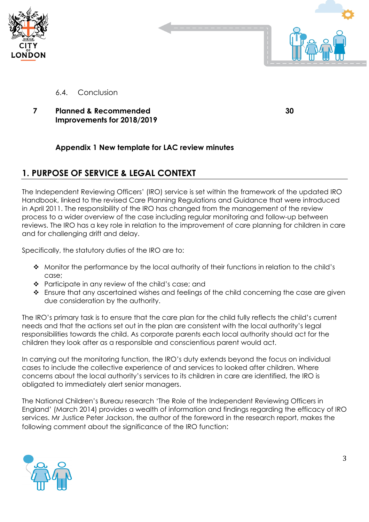





6.4. Conclusion

**7 Planned & Recommended 30 Improvements for 2018/2019**

## **Appendix 1 New template for LAC review minutes**

# **1. PURPOSE OF SERVICE & LEGAL CONTEXT**

The Independent Reviewing Officers' (IRO) service is set within the framework of the updated IRO Handbook, linked to the revised Care Planning Regulations and Guidance that were introduced in April 2011. The responsibility of the IRO has changed from the management of the review process to a wider overview of the case including regular monitoring and follow-up between reviews. The IRO has a key role in relation to the improvement of care planning for children in care and for challenging drift and delay.

Specifically, the statutory duties of the IRO are to:

- \* Monitor the performance by the local authority of their functions in relation to the child's case;
- Participate in any review of the child's case; and
- $\cdot \cdot$  Ensure that any ascertained wishes and feelings of the child concerning the case are given due consideration by the authority.

The IRO's primary task is to ensure that the care plan for the child fully reflects the child's current needs and that the actions set out in the plan are consistent with the local authority's legal responsibilities towards the child. As corporate parents each local authority should act for the children they look after as a responsible and conscientious parent would act.

In carrying out the monitoring function, the IRO's duty extends beyond the focus on individual cases to include the collective experience of and services to looked after children. Where concerns about the local authority's services to its children in care are identified, the IRO is obligated to immediately alert senior managers.

The National Children's Bureau research 'The Role of the Independent Reviewing Officers in England' (March 2014) provides a wealth of information and findings regarding the efficacy of IRO services. Mr Justice Peter Jackson, the author of the foreword in the research report, makes the following comment about the significance of the IRO function:

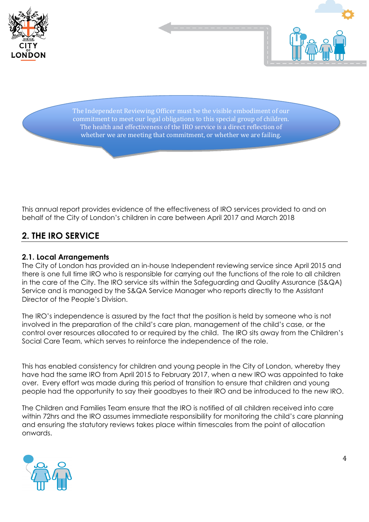



The Independent Reviewing Officer must be the visible embodiment of our commitment to meet our legal obligations to this special group of children. The health and effectiveness of the IRO service is a direct reflection of whether we are meeting that commitment, or whether we are failing.

This annual report provides evidence of the effectiveness of IRO services provided to and on behalf of the City of London's children in care between April 2017 and March 2018

# **2. THE IRO SERVICE**

## **2.1. Local Arrangements**

The City of London has provided an in-house Independent reviewing service since April 2015 and there is one full time IRO who is responsible for carrying out the functions of the role to all children in the care of the City. The IRO service sits within the Safeguarding and Quality Assurance (S&QA) Service and is managed by the S&QA Service Manager who reports directly to the Assistant Director of the People's Division.

The IRO's independence is assured by the fact that the position is held by someone who is not involved in the preparation of the child's care plan, management of the child's case, or the control over resources allocated to or required by the child. The IRO sits away from the Children's Social Care Team, which serves to reinforce the independence of the role.

This has enabled consistency for children and young people in the City of London, whereby they have had the same IRO from April 2015 to February 2017, when a new IRO was appointed to take over. Every effort was made during this period of transition to ensure that children and young people had the opportunity to say their goodbyes to their IRO and be introduced to the new IRO.

The Children and Families Team ensure that the IRO is notified of all children received into care within 72hrs and the IRO assumes immediate responsibility for monitoring the child's care planning and ensuring the statutory reviews takes place within timescales from the point of allocation onwards.

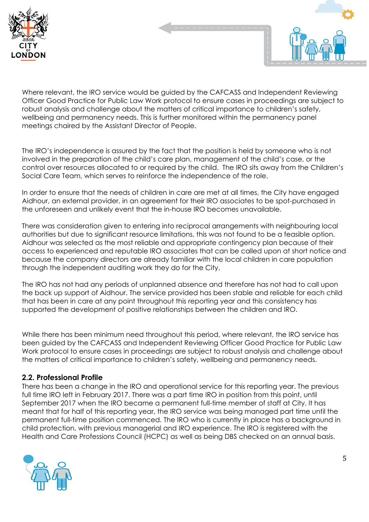



Where relevant, the IRO service would be guided by the CAFCASS and Independent Reviewing Officer Good Practice for Public Law Work protocol to ensure cases in proceedings are subject to robust analysis and challenge about the matters of critical importance to children's safety, wellbeing and permanency needs. This is further monitored within the permanency panel meetings chaired by the Assistant Director of People.

The IRO's independence is assured by the fact that the position is held by someone who is not involved in the preparation of the child's care plan, management of the child's case, or the control over resources allocated to or required by the child. The IRO sits away from the Children's Social Care Team, which serves to reinforce the independence of the role.

In order to ensure that the needs of children in care are met at all times, the City have engaged Aidhour, an external provider, in an agreement for their IRO associates to be spot-purchased in the unforeseen and unlikely event that the in-house IRO becomes unavailable.

There was consideration given to entering into reciprocal arrangements with neighbouring local authorities but due to significant resource limitations, this was not found to be a feasible option. Aidhour was selected as the most reliable and appropriate contingency plan because of their access to experienced and reputable IRO associates that can be called upon at short notice and because the company directors are already familiar with the local children in care population through the independent auditing work they do for the City.

The IRO has not had any periods of unplanned absence and therefore has not had to call upon the back up support of Aidhour. The service provided has been stable and reliable for each child that has been in care at any point throughout this reporting year and this consistency has supported the development of positive relationships between the children and IRO.

While there has been minimum need throughout this period, where relevant, the IRO service has been guided by the CAFCASS and Independent Reviewing Officer Good Practice for Public Law Work protocol to ensure cases in proceedings are subject to robust analysis and challenge about the matters of critical importance to children's safety, wellbeing and permanency needs.

# **2.2. Professional Profile**

There has been a change in the IRO and operational service for this reporting year. The previous full time IRO left in February 2017. There was a part time IRO in position from this point, until September 2017 when the IRO became a permanent full-time member of staff at City. It has meant that for half of this reporting year, the IRO service was being managed part time until the permanent full-time position commenced. The IRO who is currently in place has a background in child protection, with previous managerial and IRO experience. The IRO is registered with the Health and Care Professions Council (HCPC) as well as being DBS checked on an annual basis.

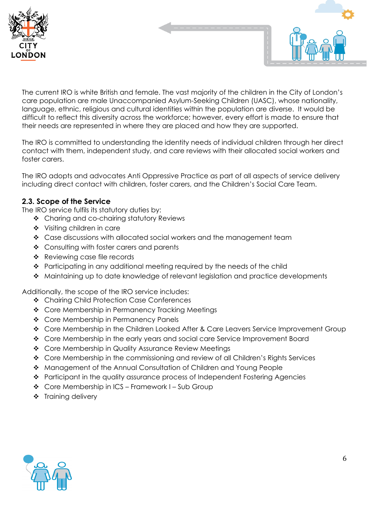



The current IRO is white British and female. The vast majority of the children in the City of London's care population are male Unaccompanied Asylum-Seeking Children (UASC), whose nationality, language, ethnic, religious and cultural identities within the population are diverse. It would be difficult to reflect this diversity across the workforce; however, every effort is made to ensure that their needs are represented in where they are placed and how they are supported.

The IRO is committed to understanding the identity needs of individual children through her direct contact with them, independent study, and care reviews with their allocated social workers and foster carers.

The IRO adopts and advocates Anti Oppressive Practice as part of all aspects of service delivery including direct contact with children, foster carers, and the Children's Social Care Team.

## **2.3. Scope of the Service**

The IRO service fulfils its statutory duties by:

- ◆ Charing and co-chairing statutory Reviews
- Visiting children in care
- \* Case discussions with allocated social workers and the management team
- ❖ Consulting with foster carers and parents
- Reviewing case file records
- \* Participating in any additional meeting required by the needs of the child
- Maintaining up to date knowledge of relevant legislation and practice developments

Additionally, the scope of the IRO service includes:

- ◆ Chairing Child Protection Case Conferences
- Core Membership in Permanency Tracking Meetings
- Core Membership in Permanency Panels
- Core Membership in the Children Looked After & Care Leavers Service Improvement Group
- \* Core Membership in the early years and social care Service Improvement Board
- ❖ Core Membership in Quality Assurance Review Meetings
- \* Core Membership in the commissioning and review of all Children's Rights Services
- Management of the Annual Consultation of Children and Young People
- Participant in the quality assurance process of Independent Fostering Agencies
- Core Membership in ICS Framework I Sub Group
- $\div$  Training delivery

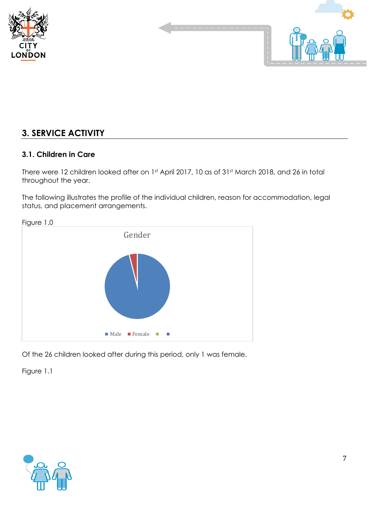





# **3. SERVICE ACTIVITY**

## **3.1. Children in Care**

There were 12 children looked after on 1st April 2017, 10 as of 31st March 2018, and 26 in total throughout the year.

The following illustrates the profile of the individual children, reason for accommodation, legal status, and placement arrangements.



Of the 26 children looked after during this period, only 1 was female.

Figure 1.1

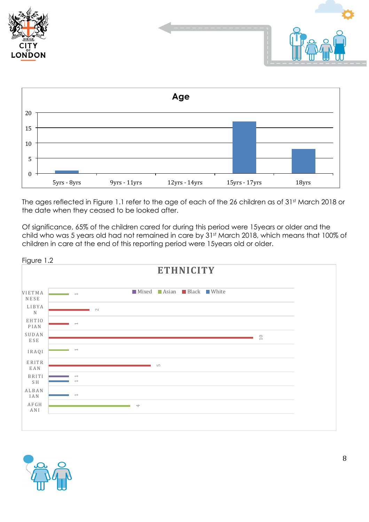



The ages reflected in Figure 1.1 refer to the age of each of the 26 children as of 31st March 2018 or the date when they ceased to be looked after.

Of significance, 65% of the children cared for during this period were 15years or older and the child who was 5 years old had not remained in care by 31st March 2018, which means that 100% of children in care at the end of this reporting period were 15years old or older.

| Figure 1.2           |                                                      |  |  |  |
|----------------------|------------------------------------------------------|--|--|--|
| <b>ETHNICITY</b>     |                                                      |  |  |  |
|                      |                                                      |  |  |  |
| VIETMA<br>NESE       | Mixed Asian Black White<br>$\overline{\phantom{a}}$  |  |  |  |
| LIBYA<br>$\mathbb N$ | $\sim$                                               |  |  |  |
| EHTIO<br>PIAN        | $\overline{\phantom{0}}$                             |  |  |  |
| SUDAN<br>ESE         | 10                                                   |  |  |  |
| IRAQI                | $\overline{\phantom{0}}$                             |  |  |  |
| ERITR<br>EAN         | $\Box$                                               |  |  |  |
| BRITI<br>SH          | $\overline{\phantom{0}}$<br>$\overline{\phantom{0}}$ |  |  |  |
| ALBAN<br>I A N       | $\overline{\phantom{m}}$                             |  |  |  |
| AFGH<br>ANI          | $\Rightarrow$                                        |  |  |  |
|                      |                                                      |  |  |  |

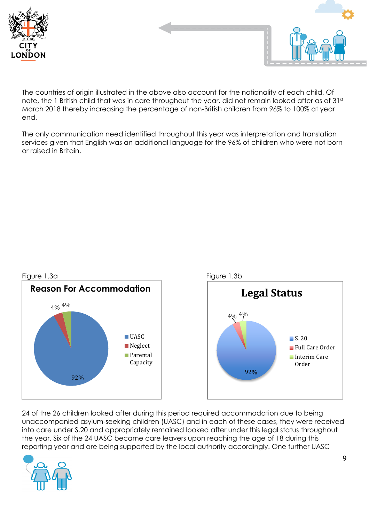



The countries of origin illustrated in the above also account for the nationality of each child. Of note, the 1 British child that was in care throughout the year, did not remain looked after as of 31st March 2018 thereby increasing the percentage of non-British children from 96% to 100% at year end.

The only communication need identified throughout this year was interpretation and translation services given that English was an additional language for the 96% of children who were not born or raised in Britain.



24 of the 26 children looked after during this period required accommodation due to being unaccompanied asylum-seeking children (UASC) and in each of these cases, they were received into care under S.20 and appropriately remained looked after under this legal status throughout the year. Six of the 24 UASC became care leavers upon reaching the age of 18 during this reporting year and are being supported by the local authority accordingly. One further UASC

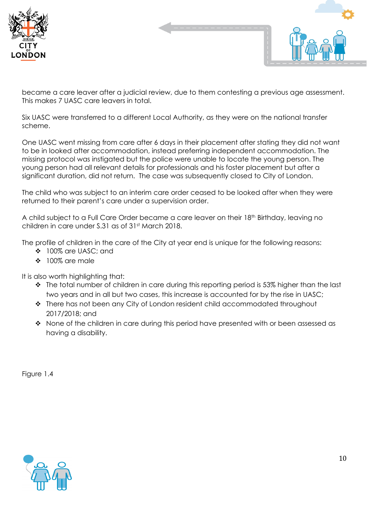



became a care leaver after a judicial review, due to them contesting a previous age assessment. This makes 7 UASC care leavers in total.

Six UASC were transferred to a different Local Authority, as they were on the national transfer scheme.

One UASC went missing from care after 6 days in their placement after stating they did not want to be in looked after accommodation, instead preferring independent accommodation. The missing protocol was instigated but the police were unable to locate the young person. The young person had all relevant details for professionals and his foster placement but after a significant duration, did not return. The case was subsequently closed to City of London.

The child who was subject to an interim care order ceased to be looked after when they were returned to their parent's care under a supervision order.

A child subject to a Full Care Order became a care leaver on their 18<sup>th</sup> Birthday, leaving no children in care under S.31 as of 31st March 2018.

The profile of children in the care of the City at year end is unique for the following reasons:

- 100% are UASC; and
- $\div$  100% are male

It is also worth highlighting that:

- \* The total number of children in care during this reporting period is 53% higher than the last two years and in all but two cases, this increase is accounted for by the rise in UASC;
- There has not been any City of London resident child accommodated throughout 2017/2018; and
- $\cdot \cdot$  None of the children in care during this period have presented with or been assessed as having a disability.

Figure 1.4

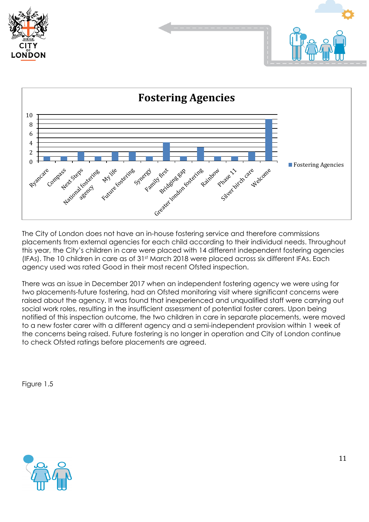

The City of London does not have an in-house fostering service and therefore commissions placements from external agencies for each child according to their individual needs. Throughout this year, the City's children in care were placed with 14 different independent fostering agencies (IFAs). The 10 children in care as of 31st March 2018 were placed across six different IFAs. Each agency used was rated Good in their most recent Ofsted inspection.

There was an issue in December 2017 when an independent fostering agency we were using for two placements-future fostering, had an Ofsted monitoring visit where significant concerns were raised about the agency. It was found that inexperienced and unqualified staff were carrying out social work roles, resulting in the insufficient assessment of potential foster carers. Upon being notified of this inspection outcome, the two children in care in separate placements, were moved to a new foster carer with a different agency and a semi-independent provision within 1 week of the concerns being raised. Future fostering is no longer in operation and City of London continue to check Ofsted ratings before placements are agreed.

Figure 1.5

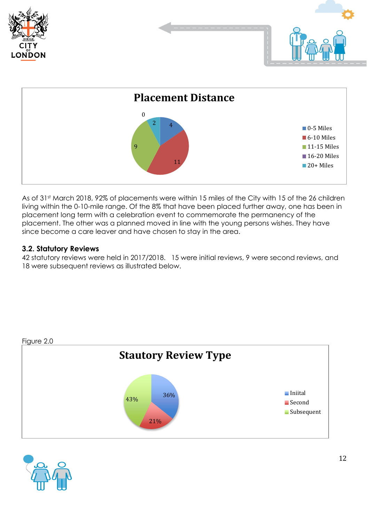

As of 31<sup>st</sup> March 2018, 92% of placements were within 15 miles of the City with 15 of the 26 children living within the 0-10-mile range. Of the 8% that have been placed further away, one has been in placement long term with a celebration event to commemorate the permanency of the placement. The other was a planned moved in line with the young persons wishes. They have since become a care leaver and have chosen to stay in the area.

# **3.2. Statutory Reviews**

42 statutory reviews were held in 2017/2018. 15 were initial reviews, 9 were second reviews, and 18 were subsequent reviews as illustrated below.



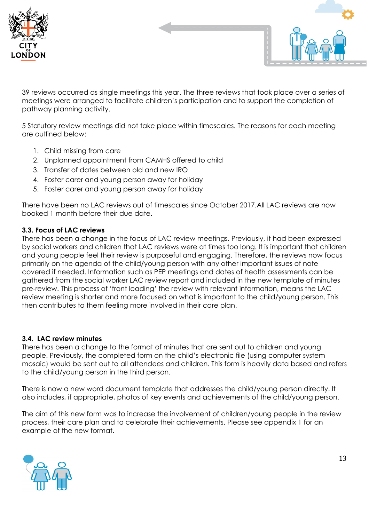



39 reviews occurred as single meetings this year. The three reviews that took place over a series of meetings were arranged to facilitate children's participation and to support the completion of pathway planning activity.

5 Statutory review meetings did not take place within timescales. The reasons for each meeting are outlined below:

- 1. Child missing from care
- 2. Unplanned appointment from CAMHS offered to child
- 3. Transfer of dates between old and new IRO
- 4. Foster carer and young person away for holiday
- 5. Foster carer and young person away for holiday

There have been no LAC reviews out of timescales since October 2017.All LAC reviews are now booked 1 month before their due date.

#### **3.3. Focus of LAC reviews**

There has been a change in the focus of LAC review meetings. Previously, it had been expressed by social workers and children that LAC reviews were at times too long. It is important that children and young people feel their review is purposeful and engaging. Therefore, the reviews now focus primarily on the agenda of the child/young person with any other important issues of note covered if needed. Information such as PEP meetings and dates of health assessments can be gathered from the social worker LAC review report and included in the new template of minutes pre-review. This process of 'front loading' the review with relevant information, means the LAC review meeting is shorter and more focused on what is important to the child/young person. This then contributes to them feeling more involved in their care plan.

#### **3.4. LAC review minutes**

There has been a change to the format of minutes that are sent out to children and young people. Previously, the completed form on the child's electronic file (using computer system mosaic) would be sent out to all attendees and children. This form is heavily data based and refers to the child/young person in the third person.

There is now a new word document template that addresses the child/young person directly. It also includes, if appropriate, photos of key events and achievements of the child/young person.

The aim of this new form was to increase the involvement of children/young people in the review process, their care plan and to celebrate their achievements. Please see appendix 1 for an example of the new format.

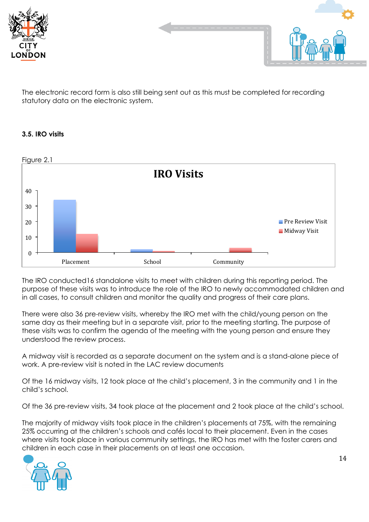



The electronic record form is also still being sent out as this must be completed for recording statutory data on the electronic system.

#### **3.5. IRO visits**



The IRO conducted16 standalone visits to meet with children during this reporting period. The purpose of these visits was to introduce the role of the IRO to newly accommodated children and in all cases, to consult children and monitor the quality and progress of their care plans.

There were also 36 pre-review visits, whereby the IRO met with the child/young person on the same day as their meeting but in a separate visit, prior to the meeting starting. The purpose of these visits was to confirm the agenda of the meeting with the young person and ensure they understood the review process.

A midway visit is recorded as a separate document on the system and is a stand-alone piece of work. A pre-review visit is noted in the LAC review documents

Of the 16 midway visits, 12 took place at the child's placement, 3 in the community and 1 in the child's school.

Of the 36 pre-review visits, 34 took place at the placement and 2 took place at the child's school.

The majority of midway visits took place in the children's placements at 75%, with the remaining 25% occurring at the children's schools and cafés local to their placement. Even in the cases where visits took place in various community settings, the IRO has met with the foster carers and children in each case in their placements on at least one occasion.

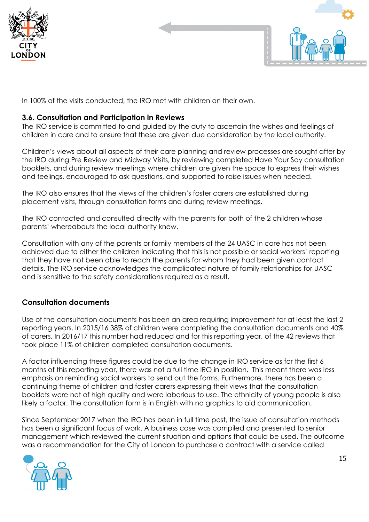



In 100% of the visits conducted, the IRO met with children on their own.

#### **3.6. Consultation and Participation in Reviews**

The IRO service is committed to and guided by the duty to ascertain the wishes and feelings of children in care and to ensure that these are given due consideration by the local authority.

Children's views about all aspects of their care planning and review processes are sought after by the IRO during Pre Review and Midway Visits, by reviewing completed Have Your Say consultation booklets, and during review meetings where children are given the space to express their wishes and feelings, encouraged to ask questions, and supported to raise issues when needed.

The IRO also ensures that the views of the children's foster carers are established during placement visits, through consultation forms and during review meetings.

The IRO contacted and consulted directly with the parents for both of the 2 children whose parents' whereabouts the local authority knew.

Consultation with any of the parents or family members of the 24 UASC in care has not been achieved due to either the children indicating that this is not possible or social workers' reporting that they have not been able to reach the parents for whom they had been given contact details. The IRO service acknowledges the complicated nature of family relationships for UASC and is sensitive to the safety considerations required as a result.

## **Consultation documents**

Use of the consultation documents has been an area requiring improvement for at least the last 2 reporting years. In 2015/16 38% of children were completing the consultation documents and 40% of carers. In 2016/17 this number had reduced and for this reporting year, of the 42 reviews that took place 11% of children completed consultation documents.

A factor influencing these figures could be due to the change in IRO service as for the first 6 months of this reporting year, there was not a full time IRO in position. This meant there was less emphasis on reminding social workers to send out the forms. Furthermore, there has been a continuing theme of children and foster carers expressing their views that the consultation booklets were not of high quality and were laborious to use. The ethnicity of young people is also likely a factor. The consultation form is in English with no graphics to aid communication.

Since September 2017 when the IRO has been in full time post, the issue of consultation methods has been a significant focus of work. A business case was compiled and presented to senior management which reviewed the current situation and options that could be used. The outcome was a recommendation for the City of London to purchase a contract with a service called

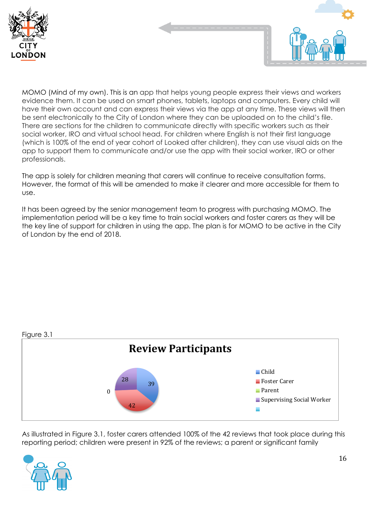



MOMO (Mind of my own). This is an app that helps young people express their views and workers evidence them. It can be used on smart phones, tablets, laptops and computers. Every child will have their own account and can express their views via the app at any time. These views will then be sent electronically to the City of London where they can be uploaded on to the child's file. There are sections for the children to communicate directly with specific workers such as their social worker, IRO and virtual school head. For children where English is not their first language (which is 100% of the end of year cohort of Looked after children), they can use visual aids on the app to support them to communicate and/or use the app with their social worker, IRO or other professionals.

The app is solely for children meaning that carers will continue to receive consultation forms. However, the format of this will be amended to make it clearer and more accessible for them to use.

It has been agreed by the senior management team to progress with purchasing MOMO. The implementation period will be a key time to train social workers and foster carers as they will be the key line of support for children in using the app. The plan is for MOMO to be active in the City of London by the end of 2018.



As illustrated in Figure 3.1, foster carers attended 100% of the 42 reviews that took place during this reporting period; children were present in 92% of the reviews; a parent or significant family

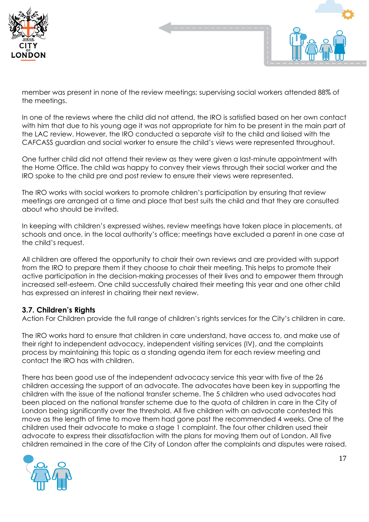



member was present in none of the review meetings; supervising social workers attended 88% of the meetings.

In one of the reviews where the child did not attend, the IRO is satisfied based on her own contact with him that due to his young age it was not appropriate for him to be present in the main part of the LAC review. However, the IRO conducted a separate visit to the child and liaised with the CAFCASS guardian and social worker to ensure the child's views were represented throughout.

One further child did not attend their review as they were given a last-minute appointment with the Home Office. The child was happy to convey their views through their social worker and the IRO spoke to the child pre and post review to ensure their views were represented.

The IRO works with social workers to promote children's participation by ensuring that review meetings are arranged at a time and place that best suits the child and that they are consulted about who should be invited.

In keeping with children's expressed wishes, review meetings have taken place in placements, at schools and once, in the local authority's office; meetings have excluded a parent in one case at the child's request.

All children are offered the opportunity to chair their own reviews and are provided with support from the IRO to prepare them if they choose to chair their meeting. This helps to promote their active participation in the decision-making processes of their lives and to empower them through increased self-esteem. One child successfully chaired their meeting this year and one other child has expressed an interest in chairing their next review.

## **3.7. Children's Rights**

Action For Children provide the full range of children's rights services for the City's children in care.

The IRO works hard to ensure that children in care understand, have access to, and make use of their right to independent advocacy, independent visiting services (IV), and the complaints process by maintaining this topic as a standing agenda item for each review meeting and contact the IRO has with children.

There has been good use of the independent advocacy service this year with five of the 26 children accessing the support of an advocate. The advocates have been key in supporting the children with the issue of the national transfer scheme. The 5 children who used advocates had been placed on the national transfer scheme due to the quota of children in care in the City of London being significantly over the threshold. All five children with an advocate contested this move as the length of time to move them had gone past the recommended 4 weeks. One of the children used their advocate to make a stage 1 complaint. The four other children used their advocate to express their dissatisfaction with the plans for moving them out of London. All five children remained in the care of the City of London after the complaints and disputes were raised.

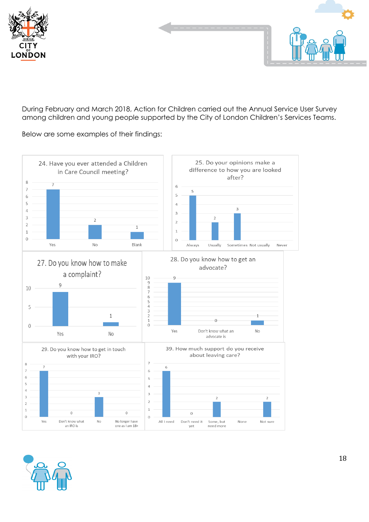



During February and March 2018, Action for Children carried out the Annual Service User Survey among children and young people supported by the City of London Children's Services Teams.

#### Below are some examples of their findings:



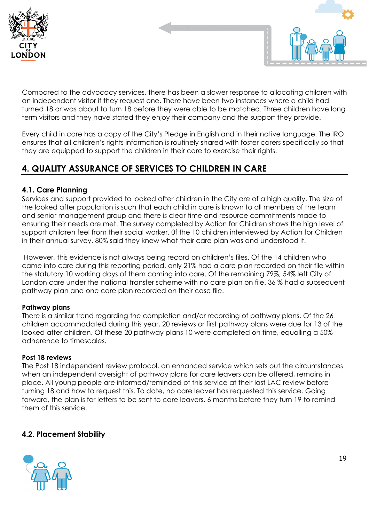



Compared to the advocacy services, there has been a slower response to allocating children with an independent visitor if they request one. There have been two instances where a child had turned 18 or was about to turn 18 before they were able to be matched. Three children have long term visitors and they have stated they enjoy their company and the support they provide.

Every child in care has a copy of the City's Pledge in English and in their native language. The IRO ensures that all children's rights information is routinely shared with foster carers specifically so that they are equipped to support the children in their care to exercise their rights.

# **4. QUALITY ASSURANCE OF SERVICES TO CHILDREN IN CARE**

## **4.1. Care Planning**

Services and support provided to looked after children in the City are of a high quality. The size of the looked after population is such that each child in care is known to all members of the team and senior management group and there is clear time and resource commitments made to ensuring their needs are met. The survey completed by Action for Children shows the high level of support children feel from their social worker. 0f the 10 children interviewed by Action for Children in their annual survey, 80% said they knew what their care plan was and understood it.

However, this evidence is not always being record on children's files. Of the 14 children who came into care during this reporting period, only 21% had a care plan recorded on their file within the statutory 10 working days of them coming into care. Of the remaining 79%, 54% left City of London care under the national transfer scheme with no care plan on file. 36 % had a subsequent pathway plan and one care plan recorded on their case file.

#### **Pathway plans**

There is a similar trend regarding the completion and/or recording of pathway plans. Of the 26 children accommodated during this year, 20 reviews or first pathway plans were due for 13 of the looked after children. Of these 20 pathway plans 10 were completed on time, equalling a 50% adherence to timescales.

#### **Post 18 reviews**

The Post 18 independent review protocol, an enhanced service which sets out the circumstances when an independent oversight of pathway plans for care leavers can be offered, remains in place. All young people are informed/reminded of this service at their last LAC review before turning 18 and how to request this. To date, no care leaver has requested this service. Going forward, the plan is for letters to be sent to care leavers, 6 months before they turn 19 to remind them of this service.

## **4.2. Placement Stability**

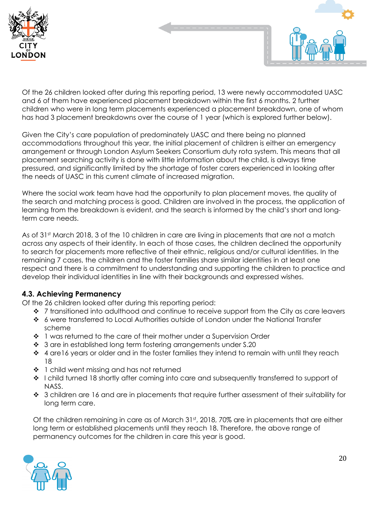



Of the 26 children looked after during this reporting period, 13 were newly accommodated UASC and 6 of them have experienced placement breakdown within the first 6 months. 2 further children who were in long term placements experienced a placement breakdown, one of whom has had 3 placement breakdowns over the course of 1 year (which is explored further below).

Given the City's care population of predominately UASC and there being no planned accommodations throughout this year, the initial placement of children is either an emergency arrangement or through London Asylum Seekers Consortium duty rota system. This means that all placement searching activity is done with little information about the child, is always time pressured, and significantly limited by the shortage of foster carers experienced in looking after the needs of UASC in this current climate of increased migration.

Where the social work team have had the opportunity to plan placement moves, the quality of the search and matching process is good. Children are involved in the process, the application of learning from the breakdown is evident, and the search is informed by the child's short and longterm care needs.

As of 31<sup>st</sup> March 2018, 3 of the 10 children in care are living in placements that are not a match across any aspects of their identity. In each of those cases, the children declined the opportunity to search for placements more reflective of their ethnic, religious and/or cultural identities. In the remaining 7 cases, the children and the foster families share similar identities in at least one respect and there is a commitment to understanding and supporting the children to practice and develop their individual identities in line with their backgrounds and expressed wishes.

## **4.3. Achieving Permanency**

Of the 26 children looked after during this reporting period:

- 7 transitioned into adulthood and continue to receive support from the City as care leavers
- 6 were transferred to Local Authorities outside of London under the National Transfer scheme
- 1 was returned to the care of their mother under a Supervision Order
- ◆ 3 are in established long term fostering arrangements under S.20
- $\cdot$  4 are16 years or older and in the foster families they intend to remain with until they reach 18
- ❖ 1 child went missing and has not returned
- ◆ I child turned 18 shortly after coming into care and subsequently transferred to support of NASS.
- $\cdot$  3 children are 16 and are in placements that require further assessment of their suitability for long term care.

Of the children remaining in care as of March 31st, 2018, 70% are in placements that are either long term or established placements until they reach 18. Therefore, the above range of permanency outcomes for the children in care this year is good.

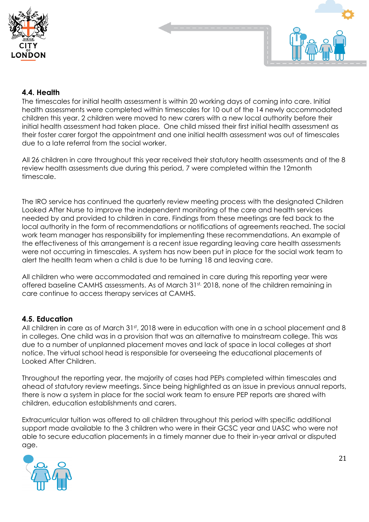





## **4.4. Health**

The timescales for initial health assessment is within 20 working days of coming into care. Initial health assessments were completed within timescales for 10 out of the 14 newly accommodated children this year. 2 children were moved to new carers with a new local authority before their initial health assessment had taken place. One child missed their first initial health assessment as their foster carer forgot the appointment and one initial health assessment was out of timescales due to a late referral from the social worker.

All 26 children in care throughout this year received their statutory health assessments and of the 8 review health assessments due during this period, 7 were completed within the 12month timescale.

The IRO service has continued the quarterly review meeting process with the designated Children Looked After Nurse to improve the independent monitoring of the care and health services needed by and provided to children in care. Findings from these meetings are fed back to the local authority in the form of recommendations or notifications of agreements reached. The social work team manager has responsibility for implementing these recommendations. An example of the effectiveness of this arrangement is a recent issue regarding leaving care health assessments were not occurring in timescales. A system has now been put in place for the social work team to alert the health team when a child is due to be turning 18 and leaving care.

All children who were accommodated and remained in care during this reporting year were offered baseline CAMHS assessments. As of March 31st, 2018, none of the children remaining in care continue to access therapy services at CAMHS.

# **4.5. Education**

All children in care as of March 31st, 2018 were in education with one in a school placement and 8 in colleges. One child was in a provision that was an alternative to mainstream college. This was due to a number of unplanned placement moves and lack of space in local colleges at short notice. The virtual school head is responsible for overseeing the educational placements of Looked After Children.

Throughout the reporting year, the majority of cases had PEPs completed within timescales and ahead of statutory review meetings. Since being highlighted as an issue in previous annual reports, there is now a system in place for the social work team to ensure PEP reports are shared with children, education establishments and carers.

Extracurricular tuition was offered to all children throughout this period with specific additional support made available to the 3 children who were in their GCSC year and UASC who were not able to secure education placements in a timely manner due to their in-year arrival or disputed age.

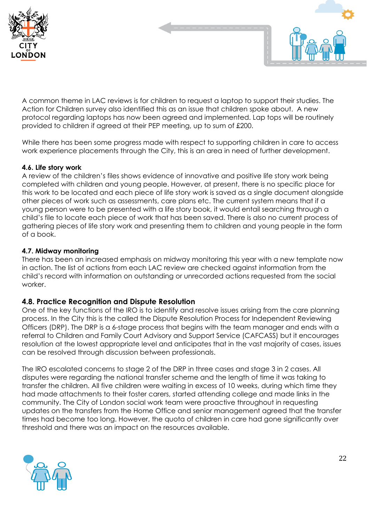



A common theme in LAC reviews is for children to request a laptop to support their studies. The Action for Children survey also identified this as an issue that children spoke about. A new protocol regarding laptops has now been agreed and implemented. Lap tops will be routinely provided to children if agreed at their PEP meeting, up to sum of £200.

While there has been some progress made with respect to supporting children in care to access work experience placements through the City, this is an area in need of further development.

#### **4.6. Life story work**

A review of the children's files shows evidence of innovative and positive life story work being completed with children and young people. However, at present, there is no specific place for this work to be located and each piece of life story work is saved as a single document alongside other pieces of work such as assessments, care plans etc. The current system means that if a young person were to be presented with a life story book, it would entail searching through a child's file to locate each piece of work that has been saved. There is also no current process of gathering pieces of life story work and presenting them to children and young people in the form of a book.

#### **4.7. Midway monitoring**

There has been an increased emphasis on midway monitoring this year with a new template now in action. The list of actions from each LAC review are checked against information from the child's record with information on outstanding or unrecorded actions requested from the social worker.

#### **4.8. Practice Recognition and Dispute Resolution**

One of the key functions of the IRO is to identify and resolve issues arising from the care planning process. In the City this is the called the Dispute Resolution Process for Independent Reviewing Officers (DRP). The DRP is a 6-stage process that begins with the team manager and ends with a referral to Children and Family Court Advisory and Support Service (CAFCASS) but it encourages resolution at the lowest appropriate level and anticipates that in the vast majority of cases, issues can be resolved through discussion between professionals.

The IRO escalated concerns to stage 2 of the DRP in three cases and stage 3 in 2 cases. All disputes were regarding the national transfer scheme and the length of time it was taking to transfer the children. All five children were waiting in excess of 10 weeks, during which time they had made attachments to their foster carers, started attending college and made links in the community. The City of London social work team were proactive throughout in requesting updates on the transfers from the Home Office and senior management agreed that the transfer times had become too long. However, the quota of children in care had gone significantly over threshold and there was an impact on the resources available.

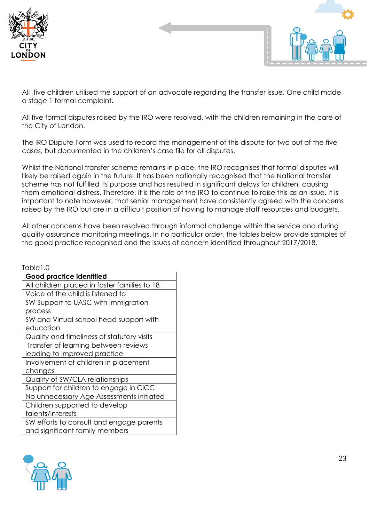



All five children utilised the support of an advocate regarding the transfer issue. One child made a stage 1 formal complaint.

All five formal disputes raised by the IRO were resolved, with the children remaining in the care of the City of London.

The IRO Dispute Form was used to record the management of this dispute for two out of the five cases, but documented in the children's case file for all disputes.

Whilst the National transfer scheme remains in place, the IRO recognises that formal disputes will likely be raised again in the future. It has been nationally recognised that the National transfer scheme has not fulfilled its purpose and has resulted in significant delays for children, causing them emotional distress. Therefore, it is the role of the IRO to continue to raise this as an issue. It is important to note however, that senior management have consistently agreed with the concerns raised by the IRO but are in a difficult position of having to manage staff resources and budgets.

All other concerns have been resolved through informal challenge within the service and during quality assurance monitoring meetings. In no particular order, the tables below provide samples of the good practice recognised and the issues of concern identified throughout 2017/2018.

| Table1.0                                     |
|----------------------------------------------|
| <b>Good practice identified</b>              |
| All children placed in foster families to 18 |
| Voice of the child is listened to            |
| SW Support to UASC with immigration          |
| process                                      |
| SW and Virtual school head support with      |
| education                                    |
| Quality and timeliness of statutory visits   |
| Transfer of learning between reviews         |
| leading to improved practice                 |
| Involvement of children in placement         |
| changes                                      |
| Quality of SW/CLA relationships              |
| Support for children to engage in CiCC       |
| No unnecessary Age Assessments initiated     |
| Children supported to develop                |
| talents/interests                            |
| SW efforts to consult and engage parents     |
| and significant family members               |

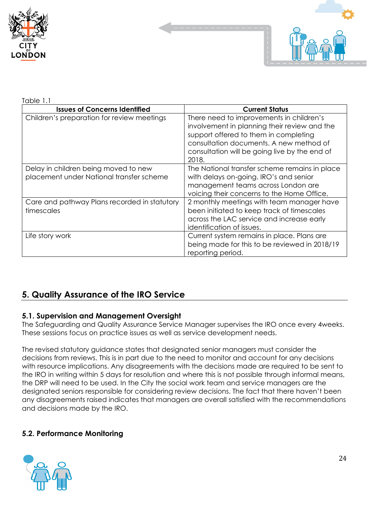





| Table 1.1                                                                        |                                                                                                                                                                                                                                        |
|----------------------------------------------------------------------------------|----------------------------------------------------------------------------------------------------------------------------------------------------------------------------------------------------------------------------------------|
| <b>Issues of Concerns Identified</b>                                             | <b>Current Status</b>                                                                                                                                                                                                                  |
| Children's preparation for review meetings                                       | There need to improvements in children's<br>involvement in planning their review and the<br>support offered to them in completing<br>consultation documents. A new method of<br>consultation will be going live by the end of<br>2018. |
| Delay in children being moved to new<br>placement under National transfer scheme | The National transfer scheme remains in place<br>with delays on-going. IRO's and senior<br>management teams across London are<br>voicing their concerns to the Home Office,                                                            |
| Care and pathway Plans recorded in statutory<br>timescales                       | 2 monthly meetings with team manager have<br>been initiated to keep track of timescales<br>across the LAC service and increase early<br>identification of issues.                                                                      |
| Life story work                                                                  | Current system remains in place. Plans are<br>being made for this to be reviewed in 2018/19<br>reporting period.                                                                                                                       |

# **5. Quality Assurance of the IRO Service**

## **5.1. Supervision and Management Oversight**

The Safeguarding and Quality Assurance Service Manager supervises the IRO once every 4weeks. These sessions focus on practice issues as well as service development needs.

The revised statutory guidance states that designated senior managers must consider the decisions from reviews. This is in part due to the need to monitor and account for any decisions with resource implications. Any disagreements with the decisions made are required to be sent to the IRO in writing within 5 days for resolution and where this is not possible through informal means, the DRP will need to be used. In the City the social work team and service managers are the designated seniors responsible for considering review decisions. The fact that there haven't been any disagreements raised indicates that managers are overall satisfied with the recommendations and decisions made by the IRO.

# **5.2. Performance Monitoring**

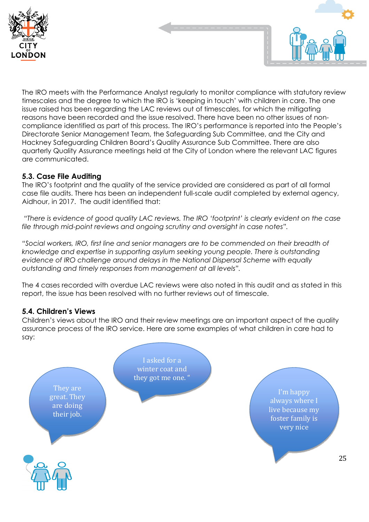



The IRO meets with the Performance Analyst regularly to monitor compliance with statutory review timescales and the degree to which the IRO is 'keeping in touch' with children in care. The one issue raised has been regarding the LAC reviews out of timescales, for which the mitigating reasons have been recorded and the issue resolved. There have been no other issues of noncompliance identified as part of this process. The IRO's performance is reported into the People's Directorate Senior Management Team, the Safeguarding Sub Committee, and the City and Hackney Safeguarding Children Board's Quality Assurance Sub Committee. There are also quarterly Quality Assurance meetings held at the City of London where the relevant LAC figures are communicated.

## **5.3. Case File Auditing**

The IRO's footprint and the quality of the service provided are considered as part of all formal case file audits. There has been an independent full-scale audit completed by external agency, Aidhour, in 2017. The audit identified that:

*"There is evidence of good quality LAC reviews. The IRO 'footprint' is clearly evident on the case file through mid-point reviews and ongoing scrutiny and oversight in case notes".*

*"Social workers, IRO, first line and senior managers are to be commended on their breadth of knowledge and expertise in supporting asylum seeking young people. There is outstanding evidence of IRO challenge around delays in the National Dispersal Scheme with equally outstanding and timely responses from management at all levels".* 

The 4 cases recorded with overdue LAC reviews were also noted in this audit and as stated in this report, the issue has been resolved with no further reviews out of timescale.

# **5.4. Children's Views**

Children's views about the IRO and their review meetings are an important aspect of the quality assurance process of the IRO service. Here are some examples of what children in care had to say:

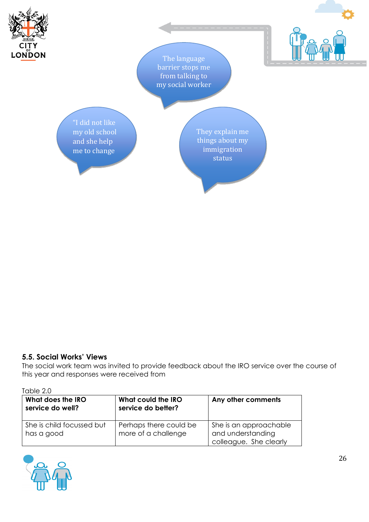

# **5.5. Social Works' Views**

The social work team was invited to provide feedback about the IRO service over the course of this year and responses were received from

| What does the IRO<br>service do well?   | What could the IRO<br>service do better?      | Any other comments                                                    |
|-----------------------------------------|-----------------------------------------------|-----------------------------------------------------------------------|
| She is child focussed but<br>has a good | Perhaps there could be<br>more of a challenge | She is an approachable<br>and understanding<br>colleague. She clearly |

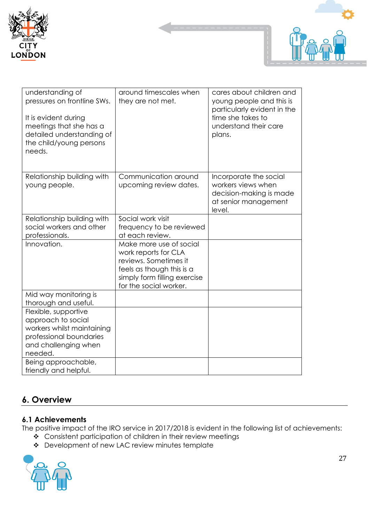



| understanding of<br>pressures on frontline SWs.<br>It is evident during<br>meetings that she has a<br>detailed understanding of<br>the child/young persons<br>needs. | around timescales when<br>they are not met.                                                                                                                     | cares about children and<br>young people and this is<br>particularly evident in the<br>time she takes to<br>understand their care<br>plans. |
|----------------------------------------------------------------------------------------------------------------------------------------------------------------------|-----------------------------------------------------------------------------------------------------------------------------------------------------------------|---------------------------------------------------------------------------------------------------------------------------------------------|
| Relationship building with<br>young people.                                                                                                                          | Communication around<br>upcoming review dates.                                                                                                                  | Incorporate the social<br>workers views when<br>decision-making is made<br>at senior management<br>level.                                   |
| Relationship building with<br>social workers and other<br>professionals.                                                                                             | Social work visit<br>frequency to be reviewed<br>at each review.                                                                                                |                                                                                                                                             |
| Innovation.                                                                                                                                                          | Make more use of social<br>work reports for CLA<br>reviews. Sometimes it<br>feels as though this is a<br>simply form filling exercise<br>for the social worker. |                                                                                                                                             |
| Mid way monitoring is<br>thorough and useful.                                                                                                                        |                                                                                                                                                                 |                                                                                                                                             |
| Flexible, supportive<br>approach to social<br>workers whilst maintaining<br>professional boundaries<br>and challenging when<br>needed.                               |                                                                                                                                                                 |                                                                                                                                             |
| Being approachable,<br>friendly and helpful.                                                                                                                         |                                                                                                                                                                 |                                                                                                                                             |

# **6. Overview**

## **6.1 Achievements**

The positive impact of the IRO service in 2017/2018 is evident in the following list of achievements:

- \* Consistent participation of children in their review meetings
- Development of new LAC review minutes template

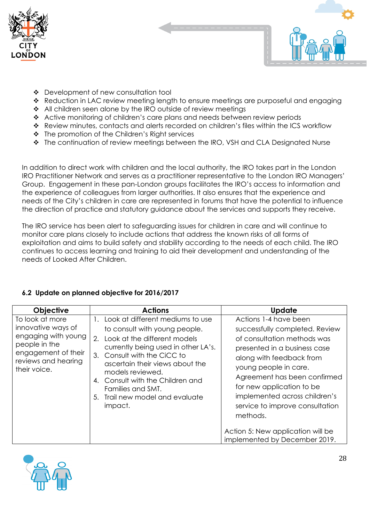



- Development of new consultation tool
- $\cdot \cdot$  Reduction in LAC review meeting length to ensure meetings are purposeful and engaging
- All children seen alone by the IRO outside of review meetings
- \* Active monitoring of children's care plans and needs between review periods
- \* Review minutes, contacts and alerts recorded on children's files within the ICS workflow
- The promotion of the Children's Right services
- \* The continuation of review meetings between the IRO, VSH and CLA Designated Nurse

In addition to direct work with children and the local authority, the IRO takes part in the London IRO Practitioner Network and serves as a practitioner representative to the London IRO Managers' Group. Engagement in these pan-London groups facilitates the IRO's access to information and the experience of colleagues from larger authorities. It also ensures that the experience and needs of the City's children in care are represented in forums that have the potential to influence the direction of practice and statutory guidance about the services and supports they receive.

The IRO service has been alert to safeguarding issues for children in care and will continue to monitor care plans closely to include actions that address the known risks of all forms of exploitation and aims to build safety and stability according to the needs of each child. The IRO continues to access learning and training to aid their development and understanding of the needs of Looked After Children.

| <b>Objective</b>                                                                                                                            | <b>Actions</b>                                                                                                                                                                                                                                                                                                                              | <b>Update</b>                                                                                                                                                                                                                                                                                                                                                                                  |  |  |
|---------------------------------------------------------------------------------------------------------------------------------------------|---------------------------------------------------------------------------------------------------------------------------------------------------------------------------------------------------------------------------------------------------------------------------------------------------------------------------------------------|------------------------------------------------------------------------------------------------------------------------------------------------------------------------------------------------------------------------------------------------------------------------------------------------------------------------------------------------------------------------------------------------|--|--|
| To look at more<br>innovative ways of<br>engaging with young<br>people in the<br>engagement of their<br>reviews and hearing<br>their voice. | 1. Look at different mediums to use<br>to consult with young people.<br>2. Look at the different models<br>currently being used in other LA's.<br>3. Consult with the CiCC to<br>ascertain their views about the<br>models reviewed.<br>4. Consult with the Children and<br>Families and SMT.<br>5. Trail new model and evaluate<br>impact. | Actions 1-4 have been<br>successfully completed. Review<br>of consultation methods was<br>presented in a business case<br>along with feedback from<br>young people in care.<br>Agreement has been confirmed<br>for new application to be<br>implemented across children's<br>service to improve consultation<br>methods.<br>Action 5: New application will be<br>implemented by December 2019. |  |  |

# **6.2 Update on planned objective for 2016/2017**

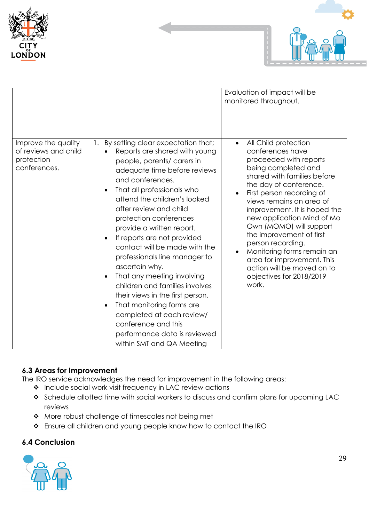



|                                                                           |                                                                                                                                                                                                                                                                                                                                                                                                                                                                                                                                                                                                                                                                                             | Evaluation of impact will be<br>monitored throughout.                                                                                                                                                                                                                                                                                                                                                                                                                                             |
|---------------------------------------------------------------------------|---------------------------------------------------------------------------------------------------------------------------------------------------------------------------------------------------------------------------------------------------------------------------------------------------------------------------------------------------------------------------------------------------------------------------------------------------------------------------------------------------------------------------------------------------------------------------------------------------------------------------------------------------------------------------------------------|---------------------------------------------------------------------------------------------------------------------------------------------------------------------------------------------------------------------------------------------------------------------------------------------------------------------------------------------------------------------------------------------------------------------------------------------------------------------------------------------------|
| Improve the quality<br>of reviews and child<br>protection<br>conferences. | By setting clear expectation that;<br>$\mathbf{1}$ .<br>Reports are shared with young<br>people, parents/ carers in<br>adequate time before reviews<br>and conferences.<br>That all professionals who<br>attend the children's looked<br>after review and child<br>protection conferences<br>provide a written report.<br>If reports are not provided<br>contact will be made with the<br>professionals line manager to<br>ascertain why.<br>That any meeting involving<br>children and families involves<br>their views in the first person.<br>That monitoring forms are<br>completed at each review/<br>conference and this<br>performance data is reviewed<br>within SMT and QA Meeting | All Child protection<br>$\bullet$<br>conferences have<br>proceeded with reports<br>being completed and<br>shared with families before<br>the day of conference.<br>First person recording of<br>views remains an area of<br>improvement. It is hoped the<br>new application Mind of Mo<br>Own (MOMO) will support<br>the improvement of first<br>person recording.<br>Monitoring forms remain an<br>area for improvement. This<br>action will be moved on to<br>objectives for 2018/2019<br>work. |

# **6.3 Areas for Improvement**

The IRO service acknowledges the need for improvement in the following areas:

- ◆ Include social work visit frequency in LAC review actions
- \* Schedule allotted time with social workers to discuss and confirm plans for upcoming LAC reviews
- More robust challenge of timescales not being met
- \* Ensure all children and young people know how to contact the IRO

## **6.4 Conclusion**

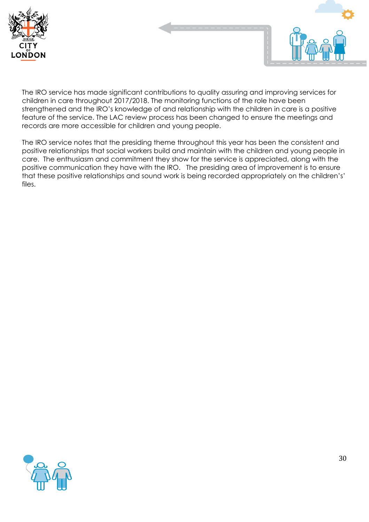



The IRO service has made significant contributions to quality assuring and improving services for children in care throughout 2017/2018. The monitoring functions of the role have been strengthened and the IRO's knowledge of and relationship with the children in care is a positive feature of the service. The LAC review process has been changed to ensure the meetings and records are more accessible for children and young people.

The IRO service notes that the presiding theme throughout this year has been the consistent and positive relationships that social workers build and maintain with the children and young people in care. The enthusiasm and commitment they show for the service is appreciated, along with the positive communication they have with the IRO. The presiding area of improvement is to ensure that these positive relationships and sound work is being recorded appropriately on the children's' files.

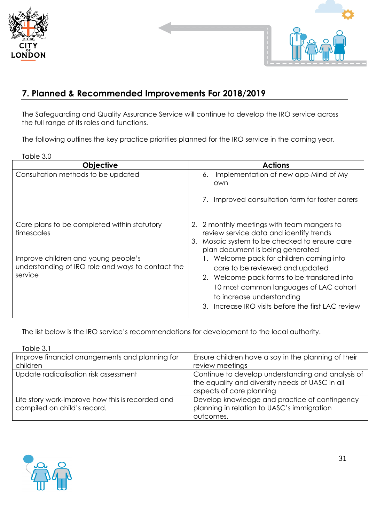



# **7. Planned & Recommended Improvements For 2018/2019**

The Safeguarding and Quality Assurance Service will continue to develop the IRO service across the full range of its roles and functions.

The following outlines the key practice priorities planned for the IRO service in the coming year.

Table 3.0

| <b>Objective</b>                                                                                    | <b>Actions</b>                                                                                                                                                                                                                                       |
|-----------------------------------------------------------------------------------------------------|------------------------------------------------------------------------------------------------------------------------------------------------------------------------------------------------------------------------------------------------------|
| Consultation methods to be updated                                                                  | Implementation of new app-Mind of My<br>6.<br>own                                                                                                                                                                                                    |
|                                                                                                     | Improved consultation form for foster carers                                                                                                                                                                                                         |
| Care plans to be completed within statutory<br>timescales                                           | 2 monthly meetings with team mangers to<br>2.<br>review service data and identify trends<br>Mosaic system to be checked to ensure care<br>plan document is being generated                                                                           |
| Improve children and young people's<br>understanding of IRO role and ways to contact the<br>service | Welcome pack for children coming into<br>care to be reviewed and updated<br>2. Welcome pack forms to be translated into<br>10 most common languages of LAC cohort<br>to increase understanding<br>3. Increase IRO visits before the first LAC review |

The list below is the IRO service's recommendations for development to the local authority.

| Table 3.1                                                                       |                                                                                                                                  |
|---------------------------------------------------------------------------------|----------------------------------------------------------------------------------------------------------------------------------|
| Improve financial arrangements and planning for                                 | Ensure children have a say in the planning of their                                                                              |
| children                                                                        | review meetings                                                                                                                  |
| Update radicalisation risk assessment                                           | Continue to develop understanding and analysis of<br>the equality and diversity needs of UASC in all<br>aspects of care planning |
| Life story work-improve how this is recorded and<br>compiled on child's record. | Develop knowledge and practice of contingency<br>planning in relation to UASC's immigration<br>outcomes.                         |

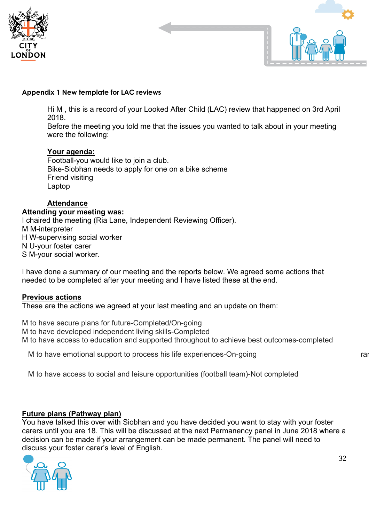





#### **Appendix 1 New template for LAC reviews**

Hi M , this is a record of your Looked After Child (LAC) review that happened on 3rd April 2018.

Before the meeting you told me that the issues you wanted to talk about in your meeting were the following:

## **Your agenda:**

Football-you would like to join a club. Bike-Siobhan needs to apply for one on a bike scheme Friend visiting Laptop

#### **Attendance Attending your meeting was:**

I chaired the meeting (Ria Lane, Independent Reviewing Officer). M M-interpreter H W-supervising social worker N U-your foster carer S M-your social worker.

I have done a summary of our meeting and the reports below. We agreed some actions that needed to be completed after your meeting and I have listed these at the end.

## **Previous actions**

These are the actions we agreed at your last meeting and an update on them:

M to have secure plans for future-Completed/On-going M to have developed independent living skills-Completed M to have access to education and supported throughout to achieve best outcomes-completed

M to have emotional support to process his life experiences-On-going. The range of the range of the range of the range of the range.

M to have access to social and leisure opportunities (football team)-Not completed

## **Future plans (Pathway plan)**

You have talked this over with Siobhan and you have decided you want to stay with your foster carers until you are 18. This will be discussed at the next Permanency panel in June 2018 where a decision can be made if your arrangement can be made permanent. The panel will need to discuss your foster carer's level of English.

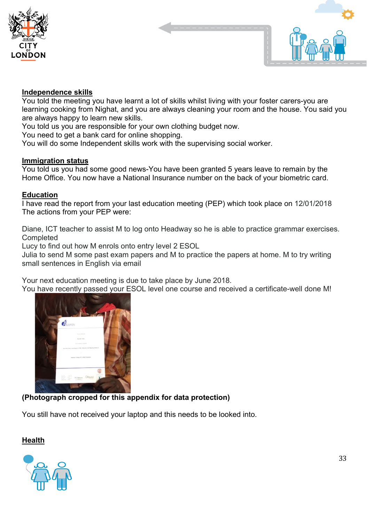



#### **Independence skills**

You told the meeting you have learnt a lot of skills whilst living with your foster carers-you are learning cooking from Nighat, and you are always cleaning your room and the house. You said you are always happy to learn new skills.

You told us you are responsible for your own clothing budget now.

You need to get a bank card for online shopping.

You will do some Independent skills work with the supervising social worker.

#### **Immigration status**

You told us you had some good news-You have been granted 5 years leave to remain by the Home Office. You now have a National Insurance number on the back of your biometric card.

#### **Education**

I have read the report from your last education meeting (PEP) which took place on 12/01/2018 The actions from your PEP were:

Diane, ICT teacher to assist M to log onto Headway so he is able to practice grammar exercises. **Completed** 

Lucy to find out how M enrols onto entry level 2 ESOL

Julia to send M some past exam papers and M to practice the papers at home. M to try writing small sentences in English via email

Your next education meeting is due to take place by June 2018.

You have recently passed your ESOL level one course and received a certificate-well done M!



# **(Photograph cropped for this appendix for data protection)**

You still have not received your laptop and this needs to be looked into.

#### **Health**

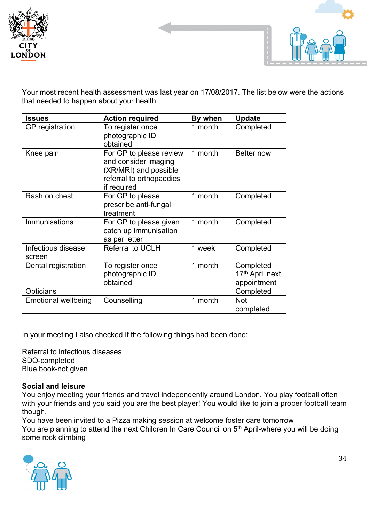



Your most recent health assessment was last year on 17/08/2017. The list below were the actions that needed to happen about your health:

| <b>Issues</b>                | <b>Action required</b>                                                                                              | By when | <b>Update</b>                               |
|------------------------------|---------------------------------------------------------------------------------------------------------------------|---------|---------------------------------------------|
| GP registration              | To register once<br>photographic ID<br>obtained                                                                     | 1 month | Completed                                   |
| Knee pain                    | For GP to please review<br>and consider imaging<br>(XR/MRI) and possible<br>referral to orthopaedics<br>if required | 1 month | Better now                                  |
| Rash on chest                | For GP to please<br>prescribe anti-fungal<br>treatment                                                              | 1 month | Completed                                   |
| <b>Immunisations</b>         | For GP to please given<br>catch up immunisation<br>as per letter                                                    | 1 month | Completed                                   |
| Infectious disease<br>screen | <b>Referral to UCLH</b>                                                                                             | 1 week  | Completed                                   |
| Dental registration          | To register once<br>photographic ID<br>obtained                                                                     | 1 month | Completed<br>17th April next<br>appointment |
| Opticians                    |                                                                                                                     |         | Completed                                   |
| <b>Emotional wellbeing</b>   | Counselling                                                                                                         | 1 month | <b>Not</b><br>completed                     |

In your meeting I also checked if the following things had been done:

Referral to infectious diseases SDQ-completed Blue book-not given

## **Social and leisure**

You enjoy meeting your friends and travel independently around London. You play football often with your friends and you said you are the best player! You would like to join a proper football team though.

You have been invited to a Pizza making session at welcome foster care tomorrow You are planning to attend the next Children In Care Council on 5<sup>th</sup> April-where you will be doing some rock climbing

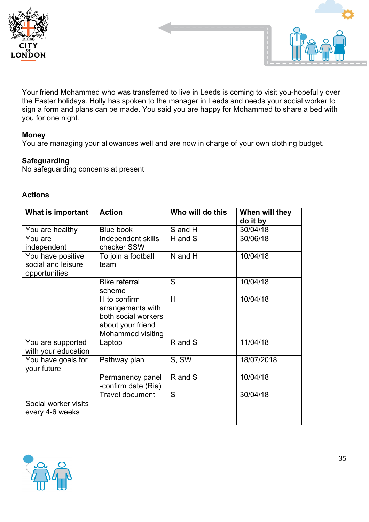



Your friend Mohammed who was transferred to live in Leeds is coming to visit you-hopefully over the Easter holidays. Holly has spoken to the manager in Leeds and needs your social worker to sign a form and plans can be made. You said you are happy for Mohammed to share a bed with you for one night.

#### **Money**

You are managing your allowances well and are now in charge of your own clothing budget.

#### **Safeguarding**

No safeguarding concerns at present

#### **Actions**

| What is important                                        | <b>Action</b>                                                                                      | Who will do this | When will they<br>do it by |
|----------------------------------------------------------|----------------------------------------------------------------------------------------------------|------------------|----------------------------|
| You are healthy                                          | <b>Blue book</b>                                                                                   | S and H          | 30/04/18                   |
| You are<br>independent                                   | Independent skills<br>checker SSW                                                                  | H and S          | 30/06/18                   |
| You have positive<br>social and leisure<br>opportunities | To join a football<br>team                                                                         | N and H          | 10/04/18                   |
|                                                          | <b>Bike referral</b><br>scheme                                                                     | S                | 10/04/18                   |
|                                                          | H to confirm<br>arrangements with<br>both social workers<br>about your friend<br>Mohammed visiting | H                | 10/04/18                   |
| You are supported<br>with your education                 | Laptop                                                                                             | R and S          | 11/04/18                   |
| You have goals for<br>your future                        | Pathway plan                                                                                       | S, SW            | 18/07/2018                 |
|                                                          | Permanency panel<br>-confirm date (Ria)                                                            | R and S          | 10/04/18                   |
|                                                          | Travel document                                                                                    | S                | 30/04/18                   |
| Social worker visits<br>every 4-6 weeks                  |                                                                                                    |                  |                            |